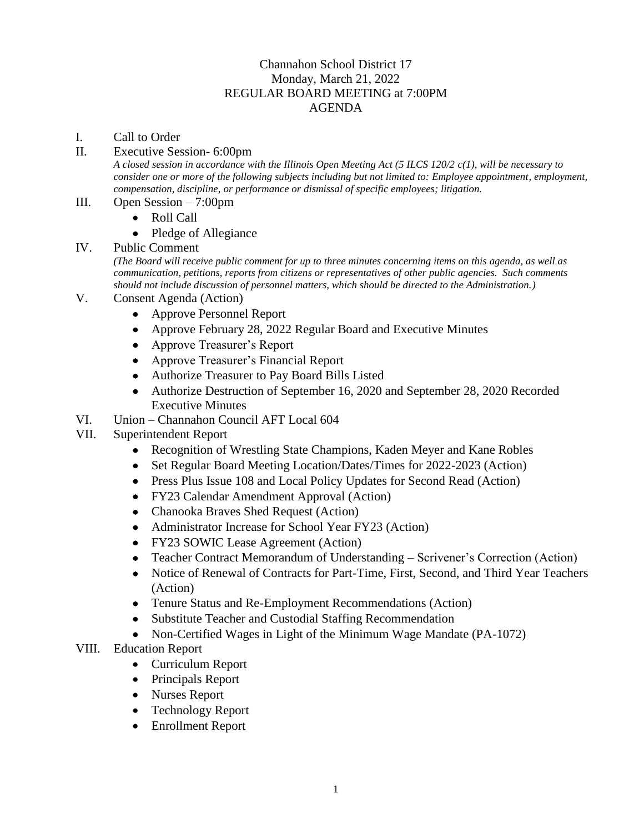## Channahon School District 17 Monday, March 21, 2022 REGULAR BOARD MEETING at 7:00PM AGENDA

- I. Call to Order
- II. Executive Session- 6:00pm

*A closed session in accordance with the Illinois Open Meeting Act (5 ILCS 120/2 c(1), will be necessary to consider one or more of the following subjects including but not limited to: Employee appointment, employment, compensation, discipline, or performance or dismissal of specific employees; litigation.* 

- III. Open Session 7:00pm
	- Roll Call
	- Pledge of Allegiance

## IV. Public Comment

*(The Board will receive public comment for up to three minutes concerning items on this agenda, as well as communication, petitions, reports from citizens or representatives of other public agencies. Such comments should not include discussion of personnel matters, which should be directed to the Administration.)*

- V. Consent Agenda (Action)
	- Approve Personnel Report
	- Approve February 28, 2022 Regular Board and Executive Minutes
	- Approve Treasurer's Report
	- Approve Treasurer's Financial Report
	- Authorize Treasurer to Pay Board Bills Listed
	- Authorize Destruction of September 16, 2020 and September 28, 2020 Recorded Executive Minutes
- VI. Union Channahon Council AFT Local 604
- VII. Superintendent Report
	- Recognition of Wrestling State Champions, Kaden Meyer and Kane Robles
	- Set Regular Board Meeting Location/Dates/Times for 2022-2023 (Action)
	- Press Plus Issue 108 and Local Policy Updates for Second Read (Action)
	- FY23 Calendar Amendment Approval (Action)
	- Chanooka Braves Shed Request (Action)
	- Administrator Increase for School Year FY23 (Action)
	- FY23 SOWIC Lease Agreement (Action)
	- Teacher Contract Memorandum of Understanding Scrivener's Correction (Action)
	- Notice of Renewal of Contracts for Part-Time, First, Second, and Third Year Teachers (Action)
	- Tenure Status and Re-Employment Recommendations (Action)
	- Substitute Teacher and Custodial Staffing Recommendation
	- Non-Certified Wages in Light of the Minimum Wage Mandate (PA-1072)
- VIII. Education Report
	- Curriculum Report
	- Principals Report
	- Nurses Report
	- Technology Report
	- Enrollment Report